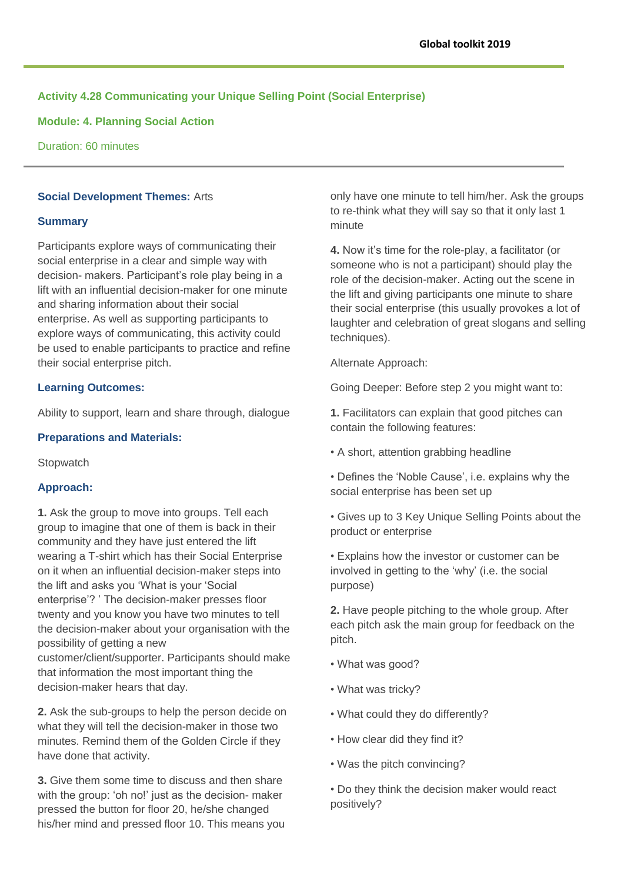# **Activity 4.28 Communicating your Unique Selling Point (Social Enterprise)**

**Module: 4. Planning Social Action**

Duration: 60 minutes

## **Social Development Themes:** Arts

### **Summary**

Participants explore ways of communicating their social enterprise in a clear and simple way with decision- makers. Participant's role play being in a lift with an influential decision-maker for one minute and sharing information about their social enterprise. As well as supporting participants to explore ways of communicating, this activity could be used to enable participants to practice and refine their social enterprise pitch.

## **Learning Outcomes:**

Ability to support, learn and share through, dialogue

#### **Preparations and Materials:**

**Stopwatch** 

### **Approach:**

**1.** Ask the group to move into groups. Tell each group to imagine that one of them is back in their community and they have just entered the lift wearing a T-shirt which has their Social Enterprise on it when an influential decision-maker steps into the lift and asks you 'What is your 'Social enterprise'? ' The decision-maker presses floor twenty and you know you have two minutes to tell the decision-maker about your organisation with the possibility of getting a new customer/client/supporter. Participants should make

that information the most important thing the decision-maker hears that day.

**2.** Ask the sub-groups to help the person decide on what they will tell the decision-maker in those two minutes. Remind them of the Golden Circle if they have done that activity.

**3.** Give them some time to discuss and then share with the group: 'oh no!' just as the decision- maker pressed the button for floor 20, he/she changed his/her mind and pressed floor 10. This means you only have one minute to tell him/her. Ask the groups to re-think what they will say so that it only last 1 minute

**4.** Now it's time for the role-play, a facilitator (or someone who is not a participant) should play the role of the decision-maker. Acting out the scene in the lift and giving participants one minute to share their social enterprise (this usually provokes a lot of laughter and celebration of great slogans and selling techniques).

Alternate Approach:

Going Deeper: Before step 2 you might want to:

**1.** Facilitators can explain that good pitches can contain the following features:

- A short, attention grabbing headline
- Defines the 'Noble Cause', i.e. explains why the social enterprise has been set up
- Gives up to 3 Key Unique Selling Points about the product or enterprise

• Explains how the investor or customer can be involved in getting to the 'why' (i.e. the social purpose)

**2.** Have people pitching to the whole group. After each pitch ask the main group for feedback on the pitch.

- What was good?
- What was tricky?
- What could they do differently?
- How clear did they find it?
- Was the pitch convincing?
- Do they think the decision maker would react positively?